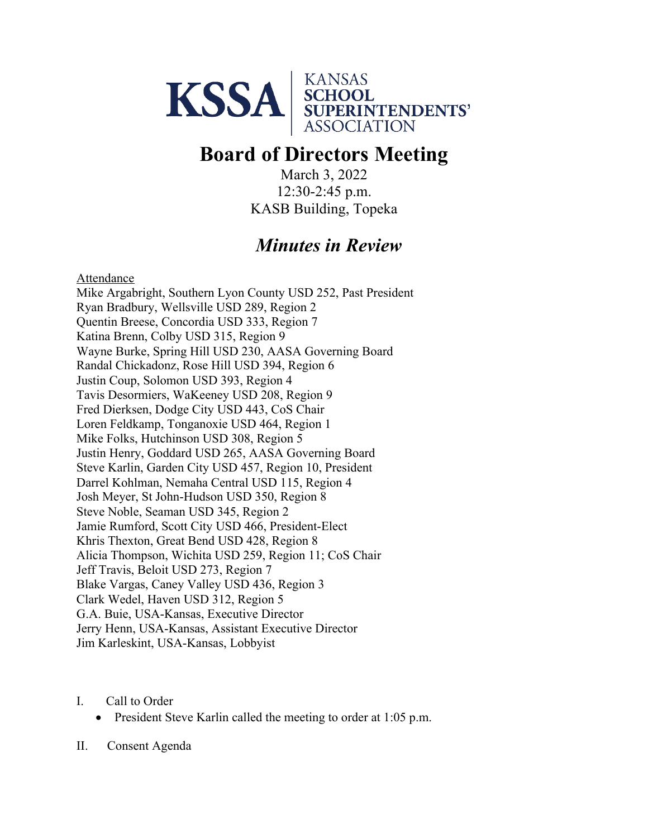

# **Board of Directors Meeting**

March 3, 2022 12:30-2:45 p.m. KASB Building, Topeka

# *Minutes in Review*

Attendance

Mike Argabright, Southern Lyon County USD 252, Past President Ryan Bradbury, Wellsville USD 289, Region 2 Quentin Breese, Concordia USD 333, Region 7 Katina Brenn, Colby USD 315, Region 9 Wayne Burke, Spring Hill USD 230, AASA Governing Board Randal Chickadonz, Rose Hill USD 394, Region 6 Justin Coup, Solomon USD 393, Region 4 Tavis Desormiers, WaKeeney USD 208, Region 9 Fred Dierksen, Dodge City USD 443, CoS Chair Loren Feldkamp, Tonganoxie USD 464, Region 1 Mike Folks, Hutchinson USD 308, Region 5 Justin Henry, Goddard USD 265, AASA Governing Board Steve Karlin, Garden City USD 457, Region 10, President Darrel Kohlman, Nemaha Central USD 115, Region 4 Josh Meyer, St John-Hudson USD 350, Region 8 Steve Noble, Seaman USD 345, Region 2 Jamie Rumford, Scott City USD 466, President-Elect Khris Thexton, Great Bend USD 428, Region 8 Alicia Thompson, Wichita USD 259, Region 11; CoS Chair Jeff Travis, Beloit USD 273, Region 7 Blake Vargas, Caney Valley USD 436, Region 3 Clark Wedel, Haven USD 312, Region 5 G.A. Buie, USA-Kansas, Executive Director Jerry Henn, USA-Kansas, Assistant Executive Director Jim Karleskint, USA-Kansas, Lobbyist

I. Call to Order

• President Steve Karlin called the meeting to order at 1:05 p.m.

II. Consent Agenda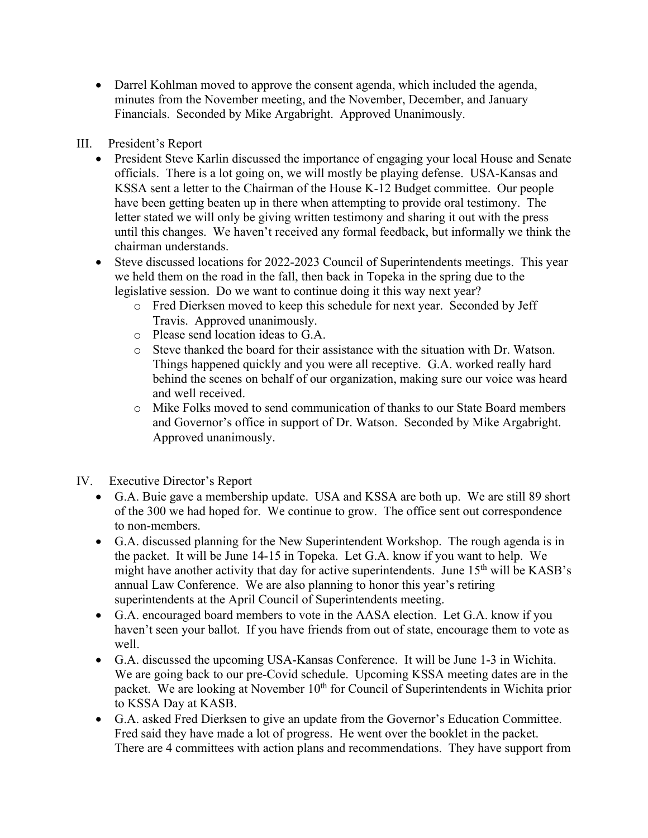• Darrel Kohlman moved to approve the consent agenda, which included the agenda, minutes from the November meeting, and the November, December, and January Financials. Seconded by Mike Argabright. Approved Unanimously.

## III. President's Report

- President Steve Karlin discussed the importance of engaging your local House and Senate officials. There is a lot going on, we will mostly be playing defense. USA-Kansas and KSSA sent a letter to the Chairman of the House K-12 Budget committee. Our people have been getting beaten up in there when attempting to provide oral testimony. The letter stated we will only be giving written testimony and sharing it out with the press until this changes. We haven't received any formal feedback, but informally we think the chairman understands.
- Steve discussed locations for 2022-2023 Council of Superintendents meetings. This year we held them on the road in the fall, then back in Topeka in the spring due to the legislative session. Do we want to continue doing it this way next year?
	- o Fred Dierksen moved to keep this schedule for next year. Seconded by Jeff Travis. Approved unanimously.
	- o Please send location ideas to G.A.
	- o Steve thanked the board for their assistance with the situation with Dr. Watson. Things happened quickly and you were all receptive. G.A. worked really hard behind the scenes on behalf of our organization, making sure our voice was heard and well received.
	- o Mike Folks moved to send communication of thanks to our State Board members and Governor's office in support of Dr. Watson. Seconded by Mike Argabright. Approved unanimously.
- IV. Executive Director's Report
	- G.A. Buie gave a membership update. USA and KSSA are both up. We are still 89 short of the 300 we had hoped for. We continue to grow. The office sent out correspondence to non-members.
	- G.A. discussed planning for the New Superintendent Workshop. The rough agenda is in the packet. It will be June 14-15 in Topeka. Let G.A. know if you want to help. We might have another activity that day for active superintendents. June 15th will be KASB's annual Law Conference. We are also planning to honor this year's retiring superintendents at the April Council of Superintendents meeting.
	- G.A. encouraged board members to vote in the AASA election. Let G.A. know if you haven't seen your ballot. If you have friends from out of state, encourage them to vote as well.
	- G.A. discussed the upcoming USA-Kansas Conference. It will be June 1-3 in Wichita. We are going back to our pre-Covid schedule. Upcoming KSSA meeting dates are in the packet. We are looking at November 10<sup>th</sup> for Council of Superintendents in Wichita prior to KSSA Day at KASB.
	- G.A. asked Fred Dierksen to give an update from the Governor's Education Committee. Fred said they have made a lot of progress. He went over the booklet in the packet. There are 4 committees with action plans and recommendations. They have support from